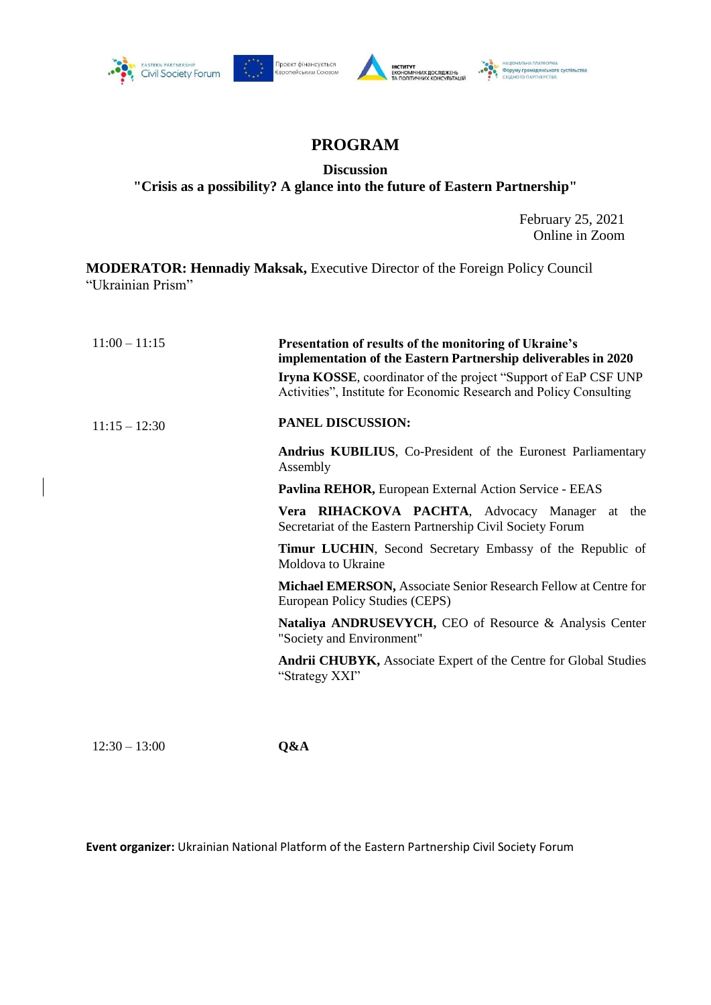





## **PROGRAM**

**Discussion** 

**"Crisis as a possibility? A glance into the future of Eastern Partnership"**

February 25, 2021 Online in Zoom

**MODERATOR: Hennadiy Maksak,** Executive Director of the Foreign Policy Council "Ukrainian Prism"

| $11:00 - 11:15$ | Presentation of results of the monitoring of Ukraine's<br>implementation of the Eastern Partnership deliverables in 2020<br><b>Iryna KOSSE</b> , coordinator of the project "Support of EaP CSF UNP<br>Activities", Institute for Economic Research and Policy Consulting |
|-----------------|---------------------------------------------------------------------------------------------------------------------------------------------------------------------------------------------------------------------------------------------------------------------------|
| $11:15 - 12:30$ | PANEL DISCUSSION:                                                                                                                                                                                                                                                         |
|                 | <b>Andrius KUBILIUS, Co-President of the Euronest Parliamentary</b><br>Assembly                                                                                                                                                                                           |
|                 | Pavlina REHOR, European External Action Service - EEAS                                                                                                                                                                                                                    |
|                 | Vera RIHACKOVA PACHTA, Advocacy Manager at<br>the<br>Secretariat of the Eastern Partnership Civil Society Forum                                                                                                                                                           |
|                 | <b>Timur LUCHIN</b> , Second Secretary Embassy of the Republic of<br>Moldova to Ukraine                                                                                                                                                                                   |
|                 | <b>Michael EMERSON, Associate Senior Research Fellow at Centre for</b><br>European Policy Studies (CEPS)                                                                                                                                                                  |
|                 | Nataliya ANDRUSEVYCH, CEO of Resource & Analysis Center<br>"Society and Environment"                                                                                                                                                                                      |
|                 | <b>Andrii CHUBYK, Associate Expert of the Centre for Global Studies</b><br>"Strategy XXI"                                                                                                                                                                                 |

12:30 – 13:00 **Q&A**

**Event organizer:** Ukrainian National Platform of the Eastern Partnership Civil Society Forum